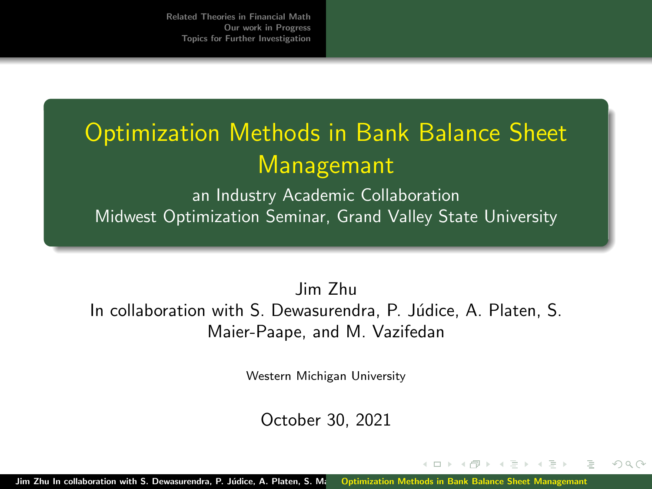# <span id="page-0-0"></span>Optimization Methods in Bank Balance Sheet Managemant

an Industry Academic Collaboration Midwest Optimization Seminar, Grand Valley State University

Jim Zhu In collaboration with S. Dewasurendra, P. Júdice, A. Platen, S. Maier-Paape, and M. Vazifedan

Western Michigan University

October 30, 2021

 $\Omega$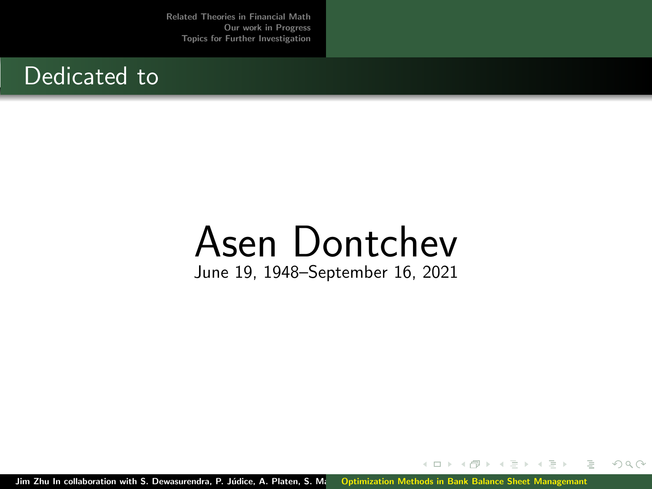### Dedicated to

# Asen Dontchev June 19, 1948–September 16, 2021

Jim Zhu In collaboration with S. Dewasurendra, P. Júdice, A. Platen, S. M. [Optimization Methods in Bank Balance Sheet Managemant](#page-0-0)

 $\leftarrow$   $\Box$   $\rightarrow$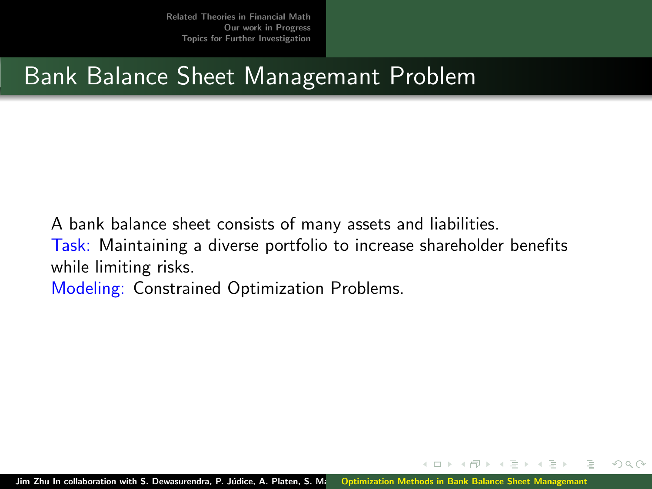## Bank Balance Sheet Managemant Problem

A bank balance sheet consists of many assets and liabilities.

Task: Maintaining a diverse portfolio to increase shareholder benefits while limiting risks.

Modeling: Constrained Optimization Problems.

Jim Zhu In collaboration with S. Dewasurendra, P. Júdice, A. Platen, S. Managetimization Methods in Bank Balance Sheet Managemant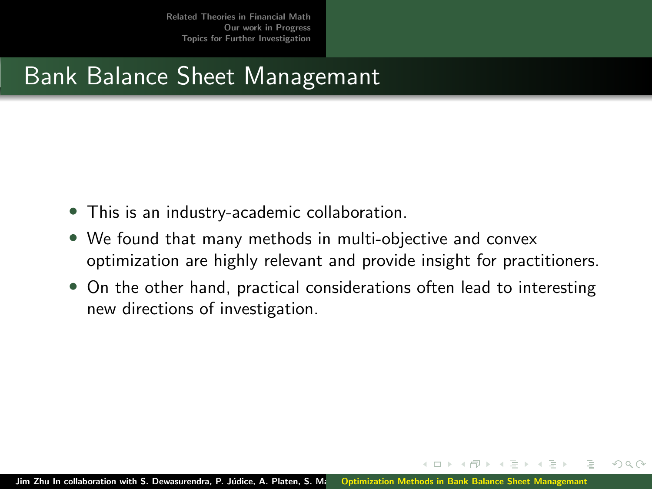# Bank Balance Sheet Managemant

- This is an industry-academic collaboration.
- We found that many methods in multi-objective and convex optimization are highly relevant and provide insight for practitioners.
- On the other hand, practical considerations often lead to interesting new directions of investigation.

 $\Omega$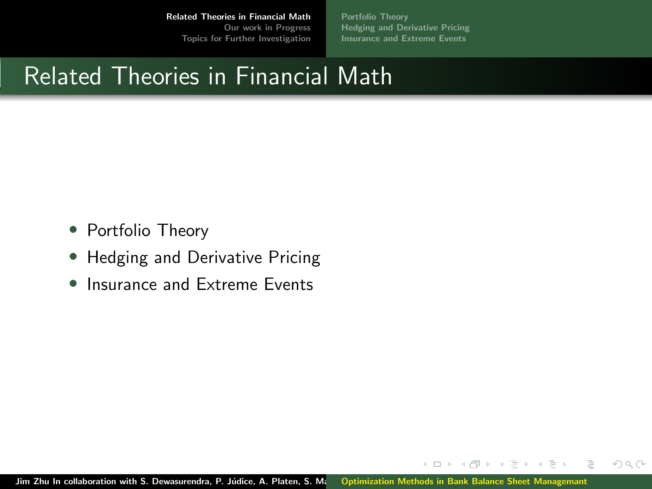[Portfolio Theory](#page-5-0) [Hedging and Derivative Pricing](#page-7-0) [Insurance and Extreme Events](#page-8-0)

 $\leftarrow$   $\Box$   $\rightarrow$ 

 $OQ$ 

### <span id="page-4-0"></span>Related Theories in Financial Math

- Portfolio Theory
- Hedging and Derivative Pricing
- Insurance and Extreme Events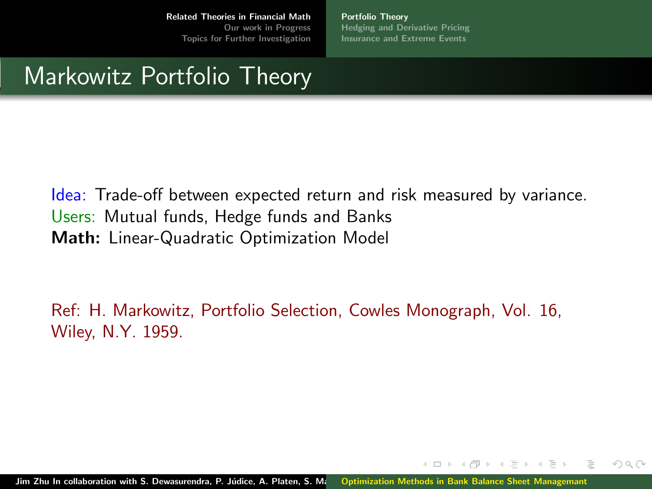[Portfolio Theory](#page-5-0) [Hedging and Derivative Pricing](#page-7-0) [Insurance and Extreme Events](#page-8-0)

 $\leftarrow$   $\Box$   $\rightarrow$ 

 $OQ$ 

## <span id="page-5-0"></span>Markowitz Portfolio Theory

Idea: Trade-off between expected return and risk measured by variance. Users: Mutual funds, Hedge funds and Banks Math: Linear-Quadratic Optimization Model

Ref: H. Markowitz, Portfolio Selection, Cowles Monograph, Vol. 16, Wiley, N.Y. 1959.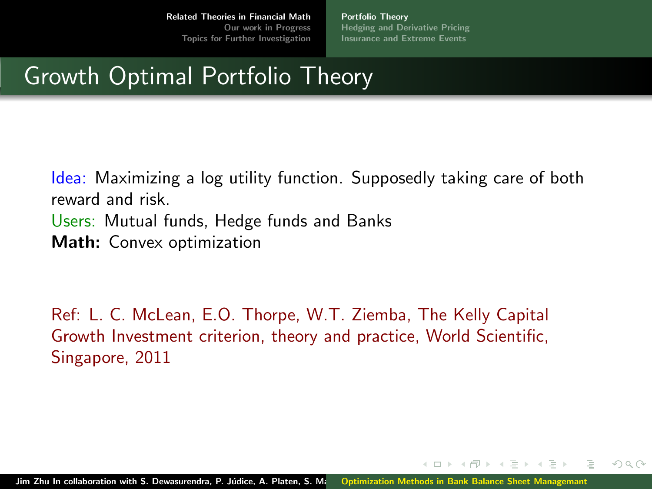[Portfolio Theory](#page-5-0) [Hedging and Derivative Pricing](#page-7-0) [Insurance and Extreme Events](#page-8-0)

4 ロト ィ*ー* 

 $\Omega$ 

# Growth Optimal Portfolio Theory

Idea: Maximizing a log utility function. Supposedly taking care of both reward and risk. Users: Mutual funds, Hedge funds and Banks Math: Convex optimization

Ref: L. C. McLean, E.O. Thorpe, W.T. Ziemba, The Kelly Capital Growth Investment criterion, theory and practice, World Scientific, Singapore, 2011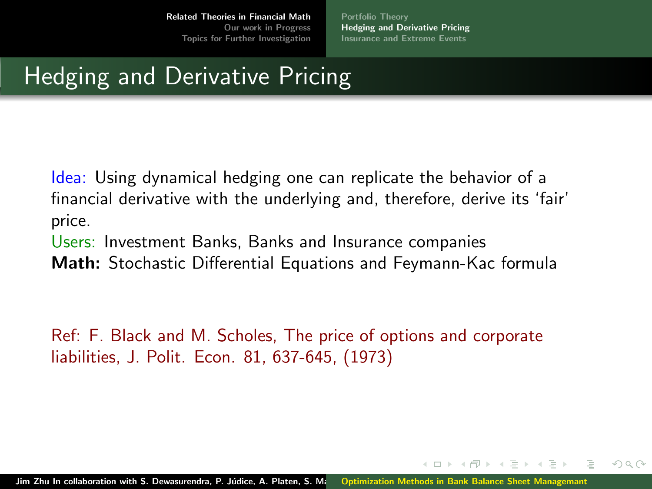[Portfolio Theory](#page-5-0) [Hedging and Derivative Pricing](#page-7-0) [Insurance and Extreme Events](#page-8-0)

 $\Omega$ 

# <span id="page-7-0"></span>Hedging and Derivative Pricing

Idea: Using dynamical hedging one can replicate the behavior of a financial derivative with the underlying and, therefore, derive its 'fair' price.

Users: Investment Banks, Banks and Insurance companies

Math: Stochastic Differential Equations and Feymann-Kac formula

Ref: F. Black and M. Scholes, The price of options and corporate liabilities, J. Polit. Econ. 81, 637-645, (1973)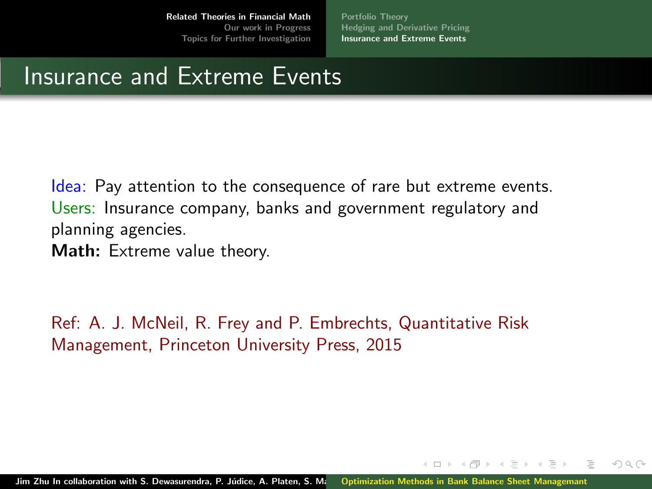[Portfolio Theory](#page-5-0) [Hedging and Derivative Pricing](#page-7-0) [Insurance and Extreme Events](#page-8-0)

 $\leftarrow$   $\Box$   $\rightarrow$ 

 $OQ$ 

### <span id="page-8-0"></span>Insurance and Extreme Events

Idea: Pay attention to the consequence of rare but extreme events. Users: Insurance company, banks and government regulatory and planning agencies.

Math: Extreme value theory.

Ref: A. J. McNeil, R. Frey and P. Embrechts, Quantitative Risk Management, Princeton University Press, 2015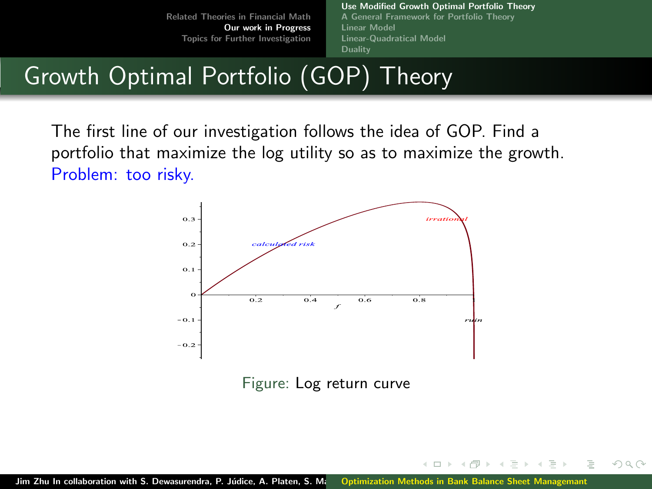[Use Modified Growth Optimal Portfolio Theory](#page-9-0) [A General Framework for Portfolio Theory](#page-13-0) [Linear Model](#page-18-0) [Linear-Quadratical Model](#page-25-0) [Duality](#page-26-0)

 $\leftarrow$ 

 $OQ$ 

# <span id="page-9-0"></span>Growth Optimal Portfolio (GOP) Theory

The first line of our investigation follows the idea of GOP. Find a portfolio that maximize the log utility so as to maximize the growth. Problem: too risky.



Figure: Log return curve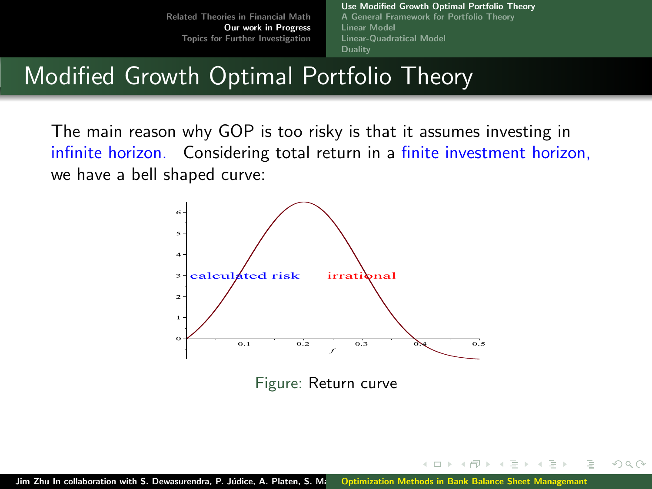[Use Modified Growth Optimal Portfolio Theory](#page-9-0) [A General Framework for Portfolio Theory](#page-13-0) [Linear Model](#page-18-0) [Linear-Quadratical Model](#page-25-0) [Duality](#page-26-0)

 $(1 - 17)$ 

 $OQ$ 

# <span id="page-10-0"></span>Modified Growth Optimal Portfolio Theory

The main reason why GOP is too risky is that it assumes investing in infinite horizon. Considering total return in a finite investment horizon, we have a bell shaped curve:



Figure: Return curve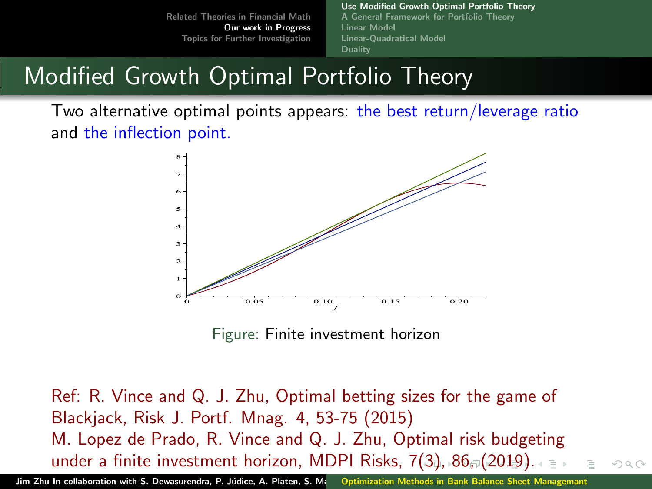[Use Modified Growth Optimal Portfolio Theory](#page-9-0) [A General Framework for Portfolio Theory](#page-13-0) [Linear Model](#page-18-0) [Linear-Quadratical Model](#page-25-0) [Duality](#page-26-0)

# <span id="page-11-0"></span>Modified Growth Optimal Portfolio Theory

Two alternative optimal points appears: the best return/leverage ratio and the inflection point.



Figure: Finite investment horizon

Ref: R. Vince and Q. J. Zhu, Optimal betting sizes for the game of Blackjack, Risk J. Portf. Mnag. 4, 53-75 (2015) M. Lopez de Prado, R. Vince and Q. J. Zhu, Optimal risk budgeting under a finite investment horizon, MDPI Risks,  $7(3)$  $7(3)$ ,  $86$  $86$ ,  $(2019)$  $(2019)$  $(2019)$  $(2019)$  $(2019)$  $(2019)$ .  $\Omega$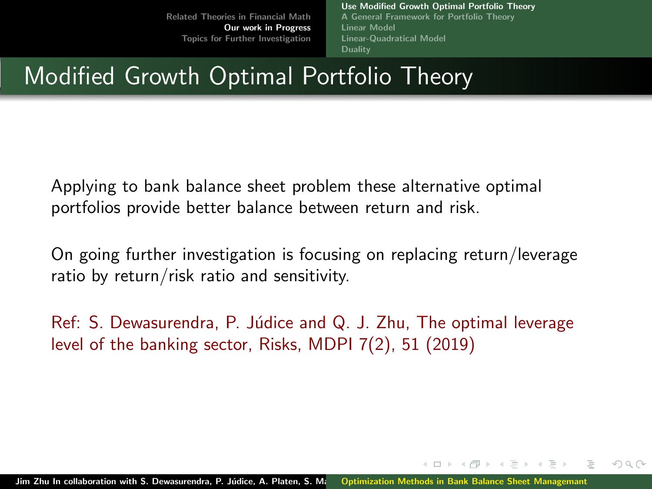[Use Modified Growth Optimal Portfolio Theory](#page-9-0) [A General Framework for Portfolio Theory](#page-13-0) [Linear Model](#page-18-0) [Linear-Quadratical Model](#page-25-0) [Duality](#page-26-0)

 $\Omega$ 

# <span id="page-12-0"></span>Modified Growth Optimal Portfolio Theory

Applying to bank balance sheet problem these alternative optimal portfolios provide better balance between return and risk.

On going further investigation is focusing on replacing return/leverage ratio by return/risk ratio and sensitivity.

 $Ref: S.$  Dewasurendra, P. Júdice and Q. J. Zhu, The optimal leverage level of the banking sector, Risks, MDPI 7(2), 51 (2019)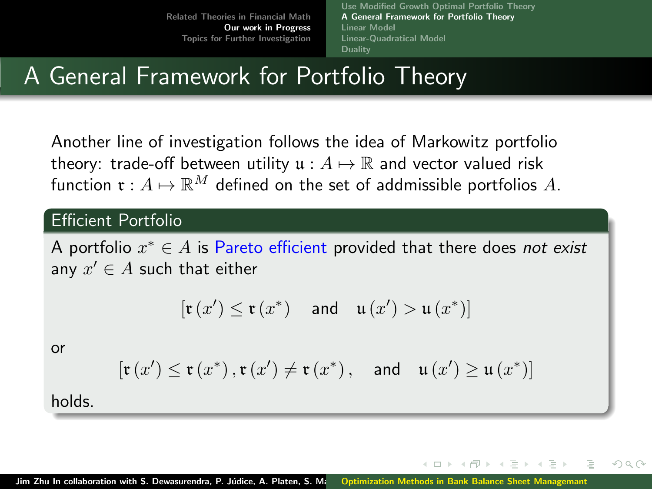[Use Modified Growth Optimal Portfolio Theory](#page-9-0) [A General Framework for Portfolio Theory](#page-13-0) [Linear Model](#page-18-0) [Linear-Quadratical Model](#page-25-0) [Duality](#page-26-0)

4 ロト ィ*ー* 

 $\Omega$ 

# <span id="page-13-0"></span>A General Framework for Portfolio Theory

Another line of investigation follows the idea of Markowitz portfolio theory: trade-off between utility  $u : A \mapsto \mathbb{R}$  and vector valued risk function  $\mathfrak{r}: A \mapsto \mathbb{R}^M$  defined on the set of addmissible portfolios A.

### Efficient Portfolio

A portfolio  $x^* \in A$  is Pareto efficient provided that there does not exist any  $x' \in A$  such that either

$$
[\mathfrak{r}\left(x'\right) \le \mathfrak{r}\left(x^*\right) \quad \text{and} \quad \mathfrak{u}\left(x'\right) > \mathfrak{u}\left(x^*\right)]
$$

or

$$
\left[\mathfrak{r}\left(x^{\prime}\right) \leq \mathfrak{r}\left(x^{*}\right), \mathfrak{r}\left(x^{\prime}\right) \neq \mathfrak{r}\left(x^{*}\right), \quad \text{and} \quad \mathfrak{u}\left(x^{\prime}\right) \geq \mathfrak{u}\left(x^{*}\right)\right]
$$

holds.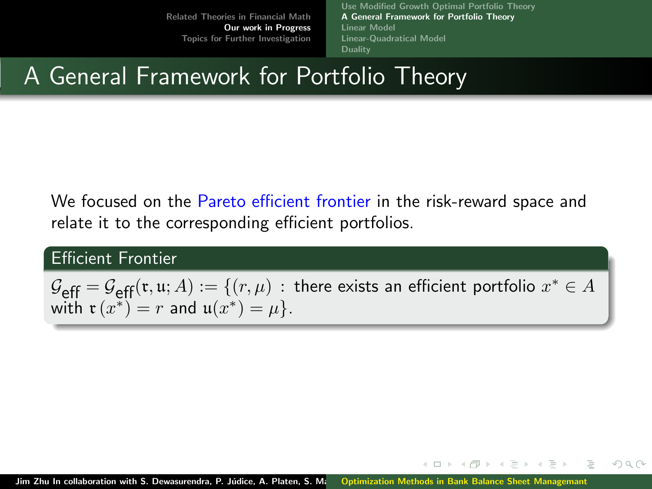[Use Modified Growth Optimal Portfolio Theory](#page-9-0) [A General Framework for Portfolio Theory](#page-13-0) [Linear Model](#page-18-0) [Linear-Quadratical Model](#page-25-0) [Duality](#page-26-0)

← □ → → 一句

 $\Omega$ 

### <span id="page-14-0"></span>A General Framework for Portfolio Theory

We focused on the Pareto efficient frontier in the risk-reward space and relate it to the corresponding efficient portfolios.

### Efficient Frontier

 $\mathcal{G}_{\textrm{eff}}=\mathcal{G}_{\textrm{eff}}(\mathfrak{r},\mathfrak{u};A):=\{(r,\mu)\,:\,\,\textrm{there exists an efficient portfolio}\,\, x^*\in A\}$ with  $\mathfrak{r}(x^*) = r$  and  $\mathfrak{u}(x^*) = \mu$ .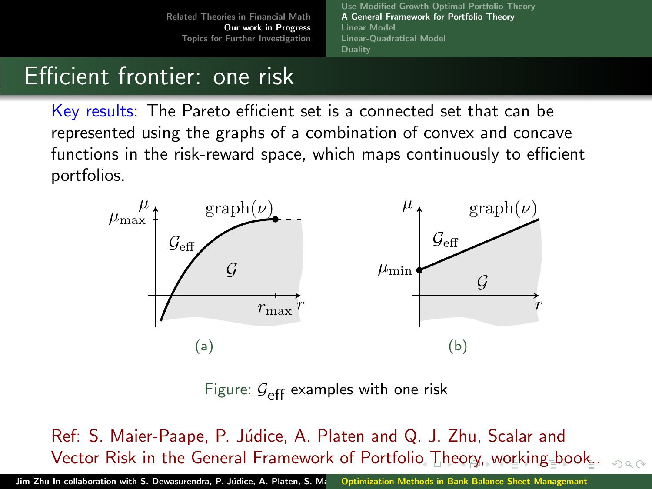[Use Modified Growth Optimal Portfolio Theory](#page-9-0) [A General Framework for Portfolio Theory](#page-13-0) [Linear Model](#page-18-0) [Linear-Quadratical Model](#page-25-0) [Duality](#page-26-0)

# <span id="page-15-0"></span>Efficient frontier: one risk

Key results: The Pareto efficient set is a connected set that can be represented using the graphs of a combination of convex and concave functions in the risk-reward space, which maps continuously to efficient portfolios.



Figure:  $\mathcal{G}_{\text{eff}}$  examples with one risk

Ref: S. Maier-Paape, P. Júdice, A. Platen and Q. J. Zhu, Scalar and Vector Risk in the General Framework of Portfoli[o T](#page-14-0)[he](#page-16-0)[o](#page-14-0)[ry,](#page-15-0)[w](#page-12-0)[or](#page-13-0)[k](#page-17-0)[i](#page-18-0)[n](#page-8-0)[g](#page-9-0) [b](#page-26-0)[o](#page-27-0)[ok](#page-0-0)[..](#page-31-0)  $\Omega$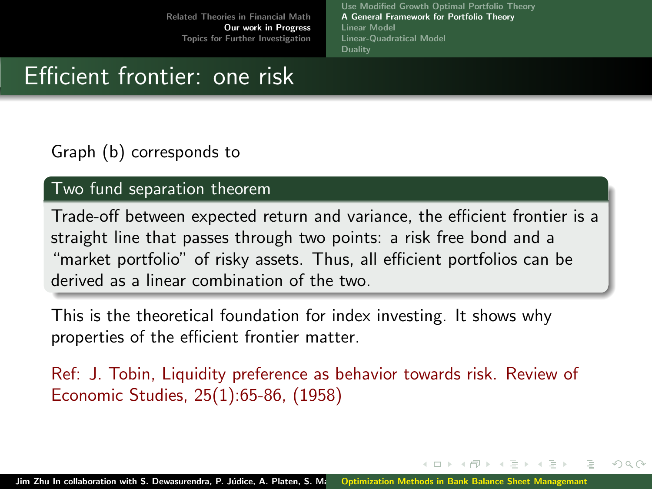[Use Modified Growth Optimal Portfolio Theory](#page-9-0) [A General Framework for Portfolio Theory](#page-13-0) [Linear Model](#page-18-0) [Linear-Quadratical Model](#page-25-0) **[Duality](#page-26-0)** 

 $\Omega$ 

### <span id="page-16-0"></span>Efficient frontier: one risk

### Graph (b) corresponds to

### Two fund separation theorem

Trade-off between expected return and variance, the efficient frontier is a straight line that passes through two points: a risk free bond and a "market portfolio" of risky assets. Thus, all efficient portfolios can be derived as a linear combination of the two.

This is the theoretical foundation for index investing. It shows why properties of the efficient frontier matter.

Ref: J. Tobin, Liquidity preference as behavior towards risk. Review of Economic Studies, 25(1):65-86, (1958)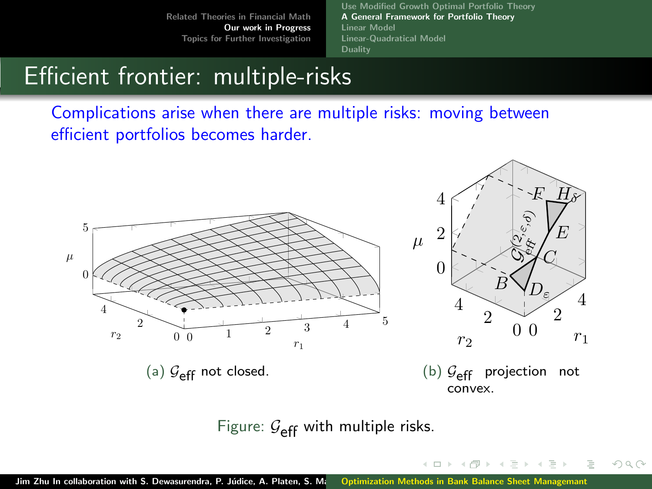[Use Modified Growth Optimal Portfolio Theory](#page-9-0) [A General Framework for Portfolio Theory](#page-13-0) [Linear Model](#page-18-0) [Linear-Quadratical Model](#page-25-0) **[Duality](#page-26-0)** 

 $\leftarrow$   $\Box$   $\rightarrow$ 

 $OQ$ 

### <span id="page-17-0"></span>Efficient frontier: multiple-risks

Complications arise when there are multiple risks: moving between efficient portfolios becomes harder.



Figure:  $G_{\text{eff}}$  with multiple risks.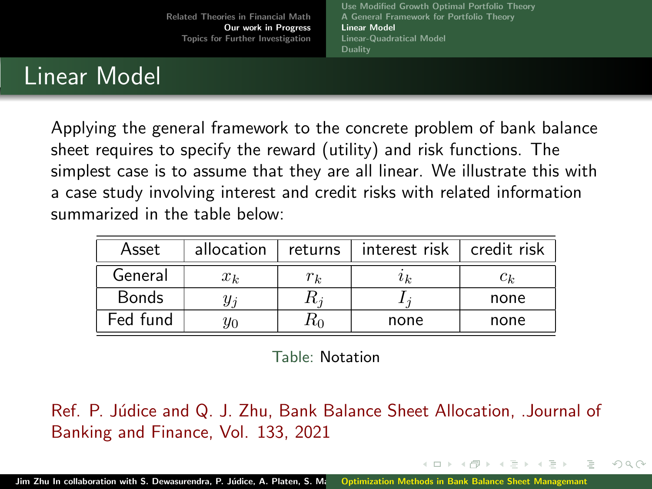[Use Modified Growth Optimal Portfolio Theory](#page-9-0) [A General Framework for Portfolio Theory](#page-13-0) [Linear Model](#page-18-0) [Linear-Quadratical Model](#page-25-0) **[Duality](#page-26-0)** 

 $\Omega \cap \Omega$ 

### <span id="page-18-0"></span>Linear Model

Applying the general framework to the concrete problem of bank balance sheet requires to specify the reward (utility) and risk functions. The simplest case is to assume that they are all linear. We illustrate this with a case study involving interest and credit risks with related information summarized in the table below:

| Asset        | allocation | returns | interest risk | credit risk |
|--------------|------------|---------|---------------|-------------|
| General      | $x_k$      | $r_k$   | $\imath_k$    | $c_k$       |
| <b>Bonds</b> | Чi         |         |               | none        |
| Fed fund     | YО         | ռո      | none          | none        |

Table: Notation

Ref. P. Júdice and Q. J. Zhu, Bank Balance Sheet Allocation, .Journal of Banking and Finance, Vol. 133, 2021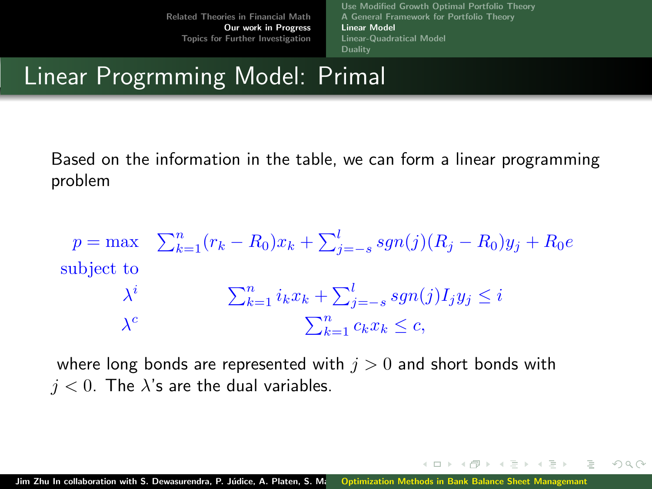[Use Modified Growth Optimal Portfolio Theory](#page-9-0) [A General Framework for Portfolio Theory](#page-13-0) [Linear Model](#page-18-0) [Linear-Quadratical Model](#page-25-0) **[Duality](#page-26-0)** 

 $\leftarrow$   $\Box$   $\rightarrow$   $\rightarrow$   $\Box$   $\rightarrow$   $\rightarrow$ 

ミャイミャ

 $OQ$ 

## Linear Progrmming Model: Primal

Based on the information in the table, we can form a linear programming problem

$$
p = \max \sum_{k=1}^{n} (r_k - R_0)x_k + \sum_{j=-s}^{l} sgn(j)(R_j - R_0)y_j + R_0e
$$
  
subject to  

$$
\lambda^i \qquad \sum_{k=1}^{n} i_k x_k + \sum_{j=-s}^{l} sgn(j)I_j y_j \le i
$$

$$
\lambda^c \qquad \sum_{k=1}^{n} c_k x_k \le c,
$$

where long bonds are represented with  $j > 0$  and short bonds with  $j < 0$ . The  $\lambda$ 's are the dual variables.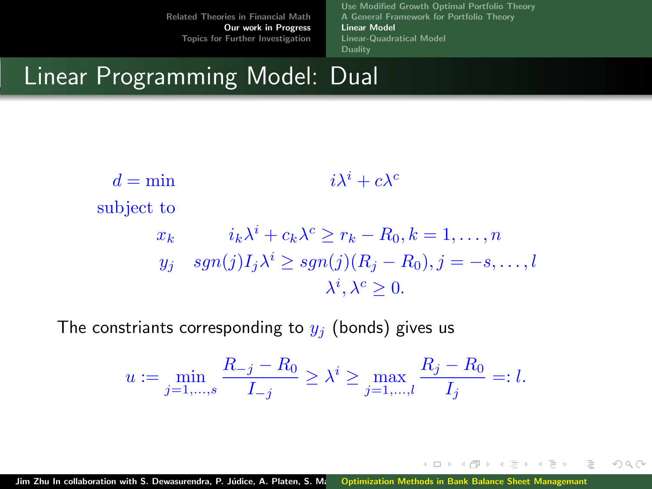[Use Modified Growth Optimal Portfolio Theory](#page-9-0) [A General Framework for Portfolio Theory](#page-13-0) [Linear Model](#page-18-0) [Linear-Quadratical Model](#page-25-0) [Duality](#page-26-0)

← □ → → 一句

 $OQ$ 

### Linear Programming Model: Dual

$$
d = \min \qquad \qquad i\lambda^i + c\lambda^c
$$
\nsubject to\n
$$
x_k \qquad i_k\lambda^i + c_k\lambda^c \ge r_k - R_0, k = 1, \dots, n
$$
\n
$$
y_j \quad sgn(j)I_j\lambda^i \ge sgn(j)(R_j - R_0), j = -s, \dots, l
$$
\n
$$
\lambda^i, \lambda^c \ge 0.
$$

The constriants corresponding to  $y_i$  (bonds) gives us

$$
u := \min_{j=1,...,s} \frac{R_{-j} - R_0}{I_{-j}} \ge \lambda^i \ge \max_{j=1,...,l} \frac{R_j - R_0}{I_j} =: l.
$$

Jim Zhu In collaboration with S. Dewasurendra, P. Júdice, A. Platen, S. M. [Optimization Methods in Bank Balance Sheet Managemant](#page-0-0)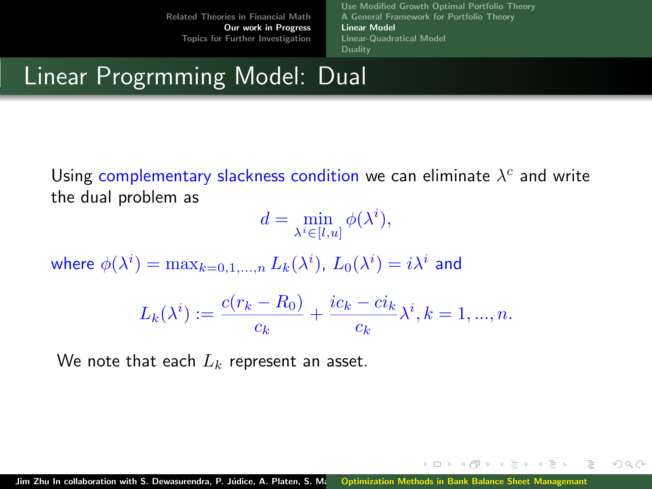[Use Modified Growth Optimal Portfolio Theory](#page-9-0) [A General Framework for Portfolio Theory](#page-13-0) [Linear Model](#page-18-0) [Linear-Quadratical Model](#page-25-0) [Duality](#page-26-0)

 $OQ$ 

イロト イ母ト イヨト イヨト

### Linear Progrmming Model: Dual

Using complementary slackness condition we can eliminate  $\lambda^c$  and write the dual problem as

 $d = \min_{\lambda^i \in [l,u]} \phi(\lambda^i),$ 

where  $\phi(\lambda^i)=\max_{k=0,1,...,n} L_k(\lambda^i)$ ,  $L_0(\lambda^i)=i\lambda^i$  and

$$
L_k(\lambda^i) := \frac{c(r_k - R_0)}{c_k} + \frac{ic_k - ci_k}{c_k} \lambda^i, k = 1, ..., n.
$$

We note that each  $L_k$  represent an asset.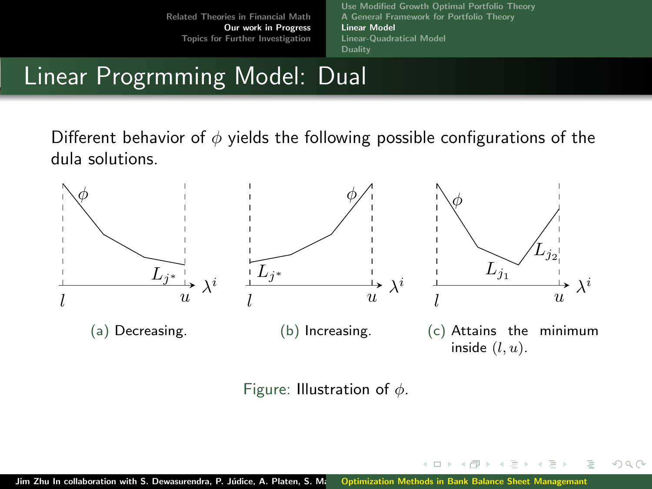[Use Modified Growth Optimal Portfolio Theory](#page-9-0) [A General Framework for Portfolio Theory](#page-13-0) [Linear Model](#page-18-0) [Linear-Quadratical Model](#page-25-0) [Duality](#page-26-0)

 $(1 - 17)$ 

 $OQ$ 

## Linear Progrmming Model: Dual

Different behavior of  $\phi$  yields the following possible configurations of the dula solutions.



Figure: Illustration of  $\phi$ .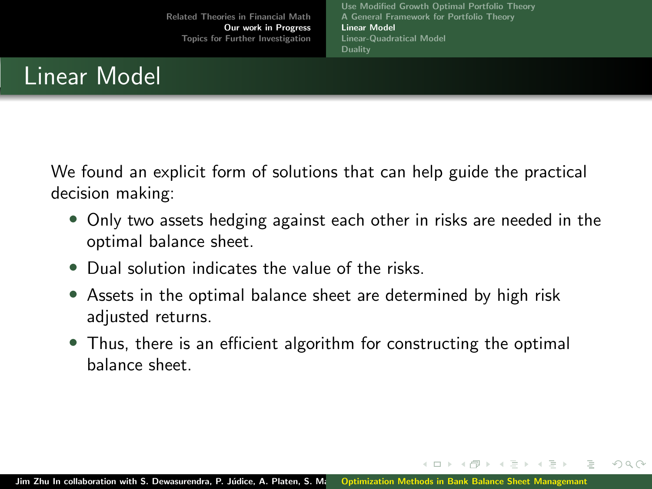[Use Modified Growth Optimal Portfolio Theory](#page-9-0) [A General Framework for Portfolio Theory](#page-13-0) [Linear Model](#page-18-0) [Linear-Quadratical Model](#page-25-0) **[Duality](#page-26-0)** 

4 ロト ィ*ー* 

 $\Omega$ 

### Linear Model

We found an explicit form of solutions that can help guide the practical decision making:

- Only two assets hedging against each other in risks are needed in the optimal balance sheet.
- Dual solution indicates the value of the risks.
- Assets in the optimal balance sheet are determined by high risk adjusted returns.
- Thus, there is an efficient algorithm for constructing the optimal balance sheet.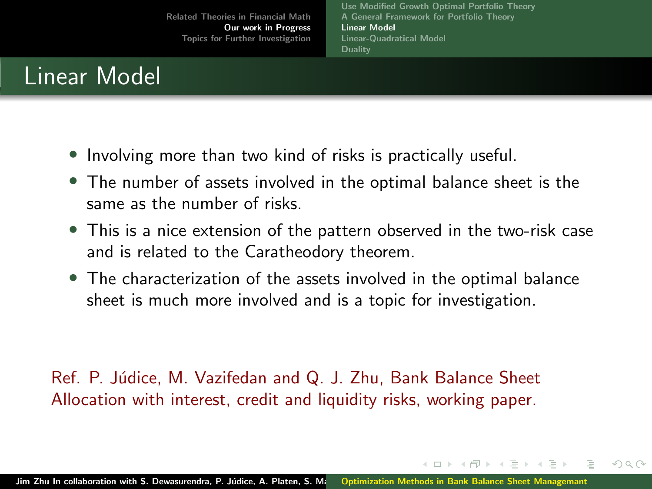[Use Modified Growth Optimal Portfolio Theory](#page-9-0) [A General Framework for Portfolio Theory](#page-13-0) [Linear Model](#page-18-0) [Linear-Quadratical Model](#page-25-0) **[Duality](#page-26-0)** 

イロト イ母ト イヨト イヨト

 $\Omega$ 

### Linear Model

- Involving more than two kind of risks is practically useful.
- The number of assets involved in the optimal balance sheet is the same as the number of risks.
- This is a nice extension of the pattern observed in the two-risk case and is related to the Caratheodory theorem.
- The characterization of the assets involved in the optimal balance sheet is much more involved and is a topic for investigation.

Ref. P. Júdice, M. Vazifedan and Q. J. Zhu, Bank Balance Sheet Allocation with interest, credit and liquidity risks, working paper.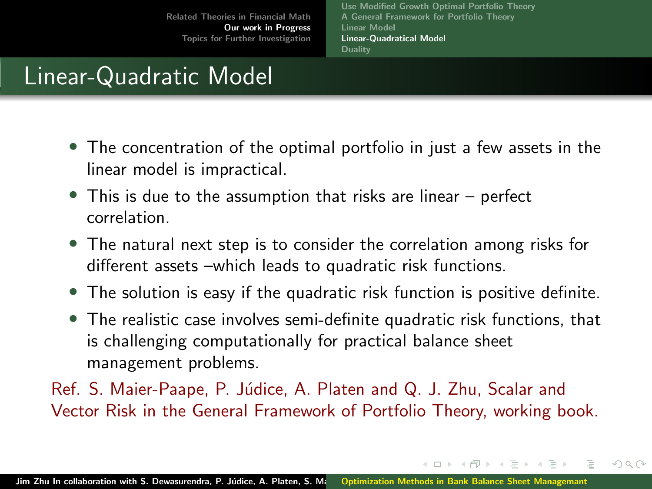[Use Modified Growth Optimal Portfolio Theory](#page-9-0) [A General Framework for Portfolio Theory](#page-13-0) [Linear Model](#page-18-0) [Linear-Quadratical Model](#page-25-0) **[Duality](#page-26-0)** 

イロト イ母ト イヨト イヨト

 $\Omega$ 

# <span id="page-25-0"></span>Linear-Quadratic Model

- The concentration of the optimal portfolio in just a few assets in the linear model is impractical.
- This is due to the assumption that risks are linear perfect correlation.
- The natural next step is to consider the correlation among risks for different assets –which leads to quadratic risk functions.
- The solution is easy if the quadratic risk function is positive definite.
- The realistic case involves semi-definite quadratic risk functions, that is challenging computationally for practical balance sheet management problems.

Ref. S. Maier-Paape, P. Júdice, A. Platen and Q. J. Zhu, Scalar and Vector Risk in the General Framework of Portfolio Theory, working book.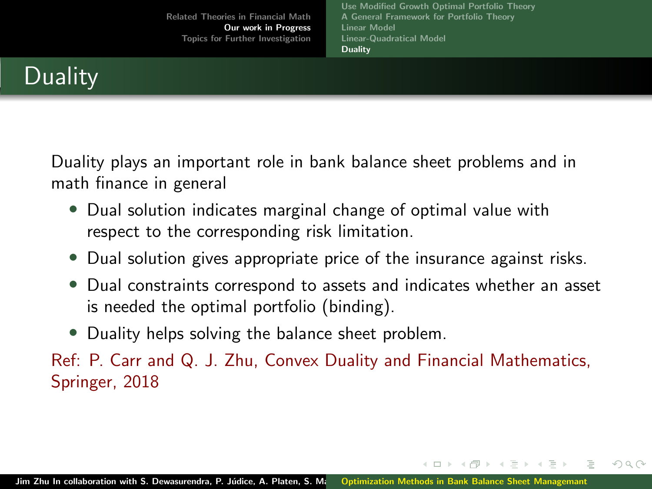[Related Theories in Financial Math](#page-4-0) [Our work in Progress](#page-9-0) [Topics for Further Investigation](#page-27-0) [Use Modified Growth Optimal Portfolio Theory](#page-9-0) [A General Framework for Portfolio Theory](#page-13-0) [Linear Model](#page-18-0) [Linear-Quadratical Model](#page-25-0) [Duality](#page-26-0)

# <span id="page-26-0"></span>**Duality**

Duality plays an important role in bank balance sheet problems and in math finance in general

- Dual solution indicates marginal change of optimal value with respect to the corresponding risk limitation.
- Dual solution gives appropriate price of the insurance against risks.
- Dual constraints correspond to assets and indicates whether an asset is needed the optimal portfolio (binding).

イロト イ母ト イヨト イヨト

 $\Omega$ 

• Duality helps solving the balance sheet problem.

Ref: P. Carr and Q. J. Zhu, Convex Duality and Financial Mathematics, Springer, 2018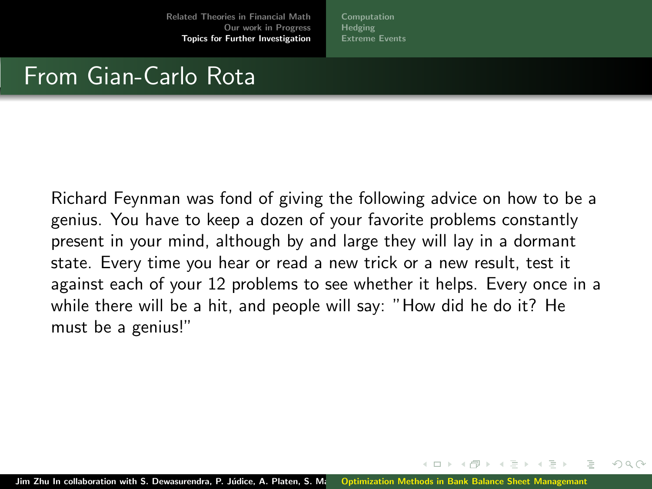[Computation](#page-28-0) **[Hedging](#page-29-0)** [Extreme Events](#page-30-0)

### <span id="page-27-0"></span>From Gian-Carlo Rota

Richard Feynman was fond of giving the following advice on how to be a genius. You have to keep a dozen of your favorite problems constantly present in your mind, although by and large they will lay in a dormant state. Every time you hear or read a new trick or a new result, test it against each of your 12 problems to see whether it helps. Every once in a while there will be a hit, and people will say: "How did he do it? He must be a genius!"

 $\Omega$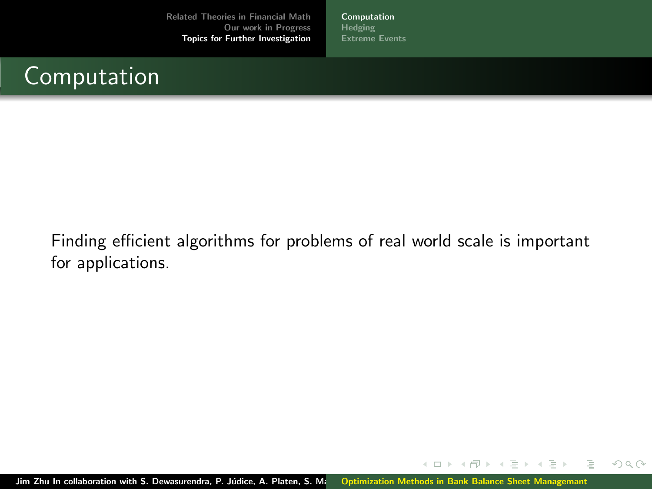[Computation](#page-28-0) [Hedging](#page-29-0) [Extreme Events](#page-30-0)

# <span id="page-28-0"></span>Computation

Finding efficient algorithms for problems of real world scale is important for applications.

Jim Zhu In collaboration with S. Dewasurendra, P. Júdice, A. Platen, S. M. [Optimization Methods in Bank Balance Sheet Managemant](#page-0-0)

 $\leftarrow$   $\Box$   $\rightarrow$ 

 $OQ$ 

Ξ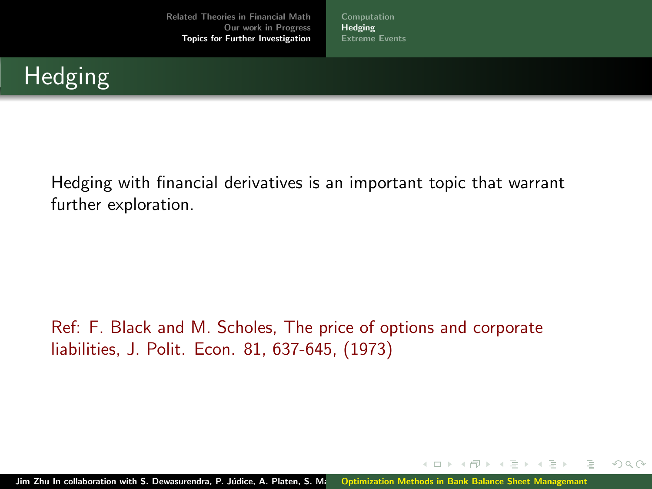[Computation](#page-28-0) [Hedging](#page-29-0) [Extreme Events](#page-30-0)

# <span id="page-29-0"></span>Hedging

Hedging with financial derivatives is an important topic that warrant further exploration.

Ref: F. Black and M. Scholes, The price of options and corporate liabilities, J. Polit. Econ. 81, 637-645, (1973)

Jim Zhu In collaboration with S. Dewasurendra, P. Júdice, A. Platen, S. Ma [Optimization Methods in Bank Balance Sheet Managemant](#page-0-0)

∢ n → ∢ n

 $\equiv$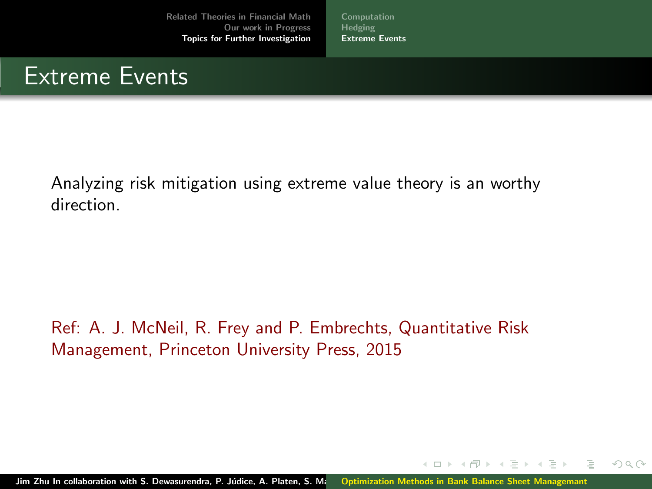[Computation](#page-28-0) [Hedging](#page-29-0) [Extreme Events](#page-30-0)

### <span id="page-30-0"></span>Extreme Events

Analyzing risk mitigation using extreme value theory is an worthy direction.

Ref: A. J. McNeil, R. Frey and P. Embrechts, Quantitative Risk Management, Princeton University Press, 2015

4 ロト ィ*ー* 

 $\equiv$